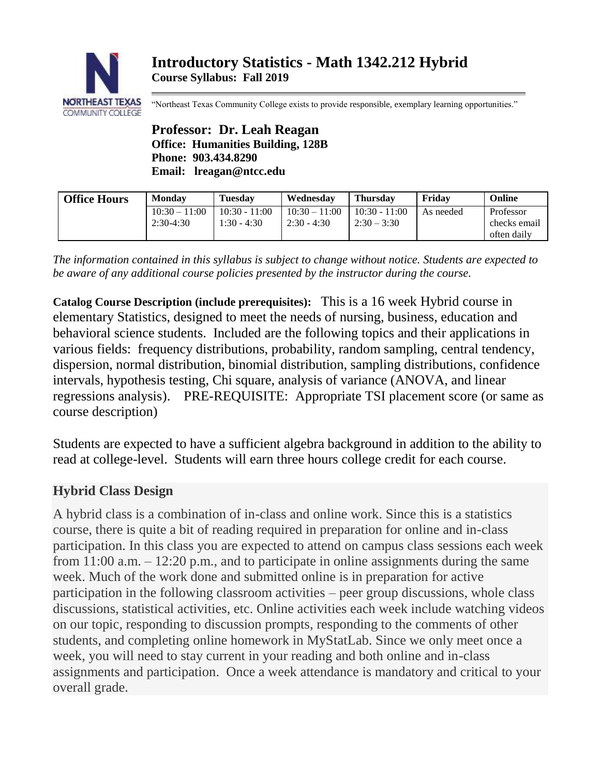

"Northeast Texas Community College exists to provide responsible, exemplary learning opportunities."

**Professor: Dr. Leah Reagan Office: Humanities Building, 128B Phone: 903.434.8290 Email: lreagan@ntcc.edu**

| <b>Office Hours</b> | <b>Monday</b>                  | <b>Tuesday</b>                   | Wednesdav                        | <b>Thursday</b>                  | Fridav    | Online                                   |
|---------------------|--------------------------------|----------------------------------|----------------------------------|----------------------------------|-----------|------------------------------------------|
|                     | $10:30 - 11:00$<br>$2:30-4:30$ | $10:30 - 11:00$<br>$1:30 - 4:30$ | $10:30 - 11:00$<br>$2:30 - 4:30$ | $10:30 - 11:00$<br>$2:30 - 3:30$ | As needed | Professor<br>checks email<br>often daily |

*The information contained in this syllabus is subject to change without notice. Students are expected to be aware of any additional course policies presented by the instructor during the course.*

**Catalog Course Description (include prerequisites):** This is a 16 week Hybrid course in elementary Statistics, designed to meet the needs of nursing, business, education and behavioral science students. Included are the following topics and their applications in various fields: frequency distributions, probability, random sampling, central tendency, dispersion, normal distribution, binomial distribution, sampling distributions, confidence intervals, hypothesis testing, Chi square, analysis of variance (ANOVA, and linear regressions analysis). PRE-REQUISITE: Appropriate TSI placement score (or same as course description)

Students are expected to have a sufficient algebra background in addition to the ability to read at college-level. Students will earn three hours college credit for each course.

# **Hybrid Class Design**

A hybrid class is a combination of in-class and online work. Since this is a statistics course, there is quite a bit of reading required in preparation for online and in-class participation. In this class you are expected to attend on campus class sessions each week from 11:00 a.m. – 12:20 p.m., and to participate in online assignments during the same week. Much of the work done and submitted online is in preparation for active participation in the following classroom activities – peer group discussions, whole class discussions, statistical activities, etc. Online activities each week include watching videos on our topic, responding to discussion prompts, responding to the comments of other students, and completing online homework in MyStatLab. Since we only meet once a week, you will need to stay current in your reading and both online and in-class assignments and participation. Once a week attendance is mandatory and critical to your overall grade.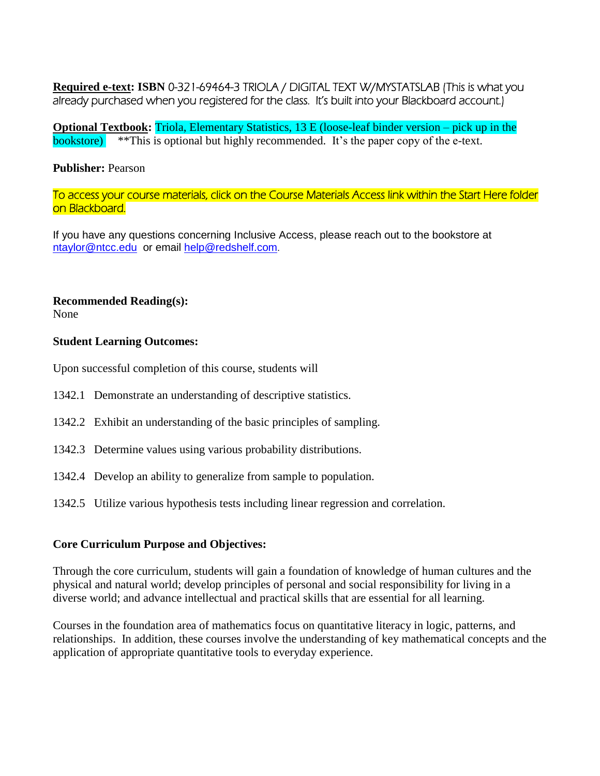**Required e-text: ISBN** 0-321-69464-3 TRIOLA / DIGITAL TEXT W/MYSTATSLAB (This is what you already purchased when you registered for the class. It's built into your Blackboard account.)

**Optional Textbook:** Triola, Elementary Statistics, 13 E (loose-leaf binder version – pick up in the bookstore) \*\*This is optional but highly recommended. It's the paper copy of the e-text.

### **Publisher:** Pearson

To access your course materials, click on the Course Materials Access link within the Start Here folder on Blackboard.

If you have any questions concerning Inclusive Access, please reach out to the bookstore at [ntaylor@ntcc.edu](mailto:ntaylor@ntcc.edu) or email [help@redshelf.com](mailto:help@redshelf.com).

## **Recommended Reading(s):**

None

## **Student Learning Outcomes:**

Upon successful completion of this course, students will

- 1342.1 Demonstrate an understanding of descriptive statistics.
- 1342.2 Exhibit an understanding of the basic principles of sampling.
- 1342.3 Determine values using various probability distributions.
- 1342.4 Develop an ability to generalize from sample to population.
- 1342.5 Utilize various hypothesis tests including linear regression and correlation.

# **Core Curriculum Purpose and Objectives:**

Through the core curriculum, students will gain a foundation of knowledge of human cultures and the physical and natural world; develop principles of personal and social responsibility for living in a diverse world; and advance intellectual and practical skills that are essential for all learning.

Courses in the foundation area of mathematics focus on quantitative literacy in logic, patterns, and relationships. In addition, these courses involve the understanding of key mathematical concepts and the application of appropriate quantitative tools to everyday experience.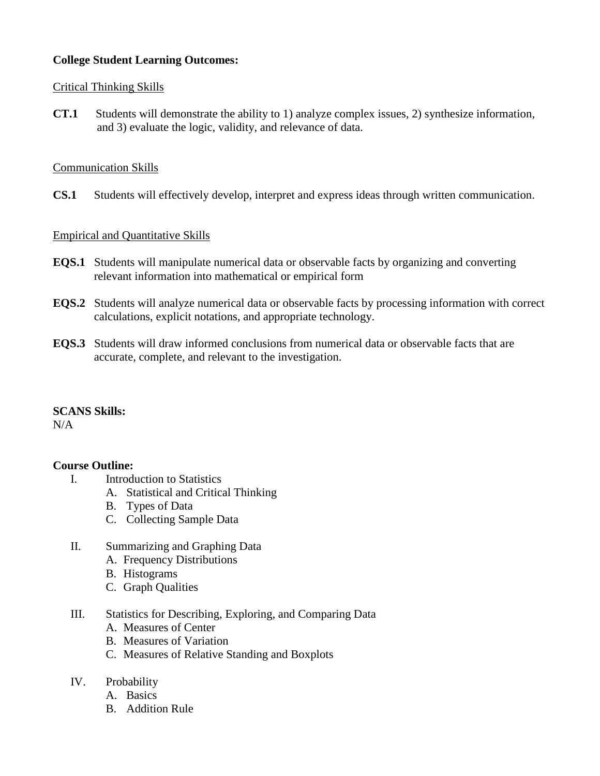# **College Student Learning Outcomes:**

# Critical Thinking Skills

**CT.1** Students will demonstrate the ability to 1) analyze complex issues, 2) synthesize information, and 3) evaluate the logic, validity, and relevance of data.

# Communication Skills

**CS.1** Students will effectively develop, interpret and express ideas through written communication.

## Empirical and Quantitative Skills

- **EQS.1** Students will manipulate numerical data or observable facts by organizing and converting relevant information into mathematical or empirical form
- **EQS.2** Students will analyze numerical data or observable facts by processing information with correct calculations, explicit notations, and appropriate technology.
- **EQS.3** Students will draw informed conclusions from numerical data or observable facts that are accurate, complete, and relevant to the investigation.

### **SCANS Skills:**

 $N/A$ 

# **Course Outline:**

- I. Introduction to Statistics
	- A. Statistical and Critical Thinking
	- B. Types of Data
	- C. Collecting Sample Data
- II. Summarizing and Graphing Data
	- A. Frequency Distributions
	- B. Histograms
	- C. Graph Qualities
- III. Statistics for Describing, Exploring, and Comparing Data
	- A. Measures of Center
	- B. Measures of Variation
	- C. Measures of Relative Standing and Boxplots
- IV. Probability
	- A. Basics
	- B. Addition Rule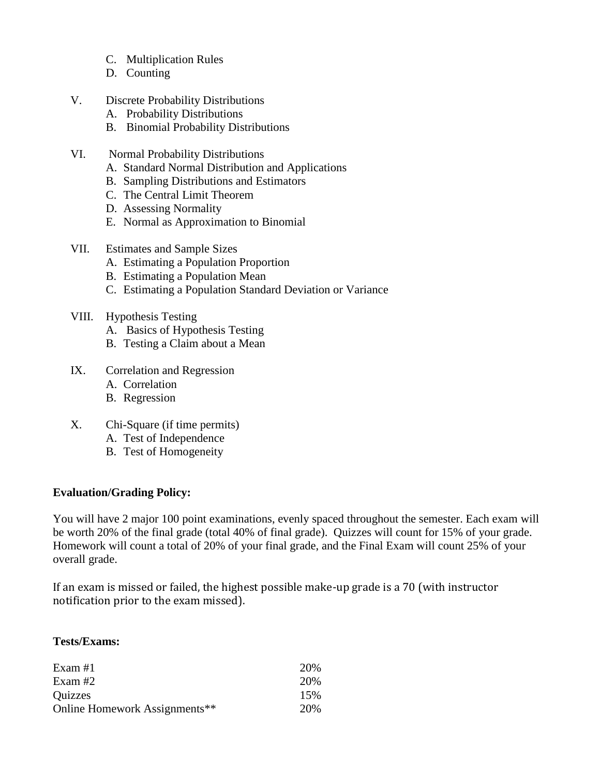- C. Multiplication Rules
- D. Counting
- V. Discrete Probability Distributions
	- A. Probability Distributions
	- B. Binomial Probability Distributions
- VI. Normal Probability Distributions
	- A. Standard Normal Distribution and Applications
	- B. Sampling Distributions and Estimators
	- C. The Central Limit Theorem
	- D. Assessing Normality
	- E. Normal as Approximation to Binomial
- VII. Estimates and Sample Sizes
	- A. Estimating a Population Proportion
	- B. Estimating a Population Mean
	- C. Estimating a Population Standard Deviation or Variance
- VIII. Hypothesis Testing
	- A. Basics of Hypothesis Testing
	- B. Testing a Claim about a Mean
- IX. Correlation and Regression
	- A. Correlation
	- B. Regression
- X. Chi-Square (if time permits)
	- A. Test of Independence
	- B. Test of Homogeneity

# **Evaluation/Grading Policy:**

You will have 2 major 100 point examinations, evenly spaced throughout the semester. Each exam will be worth 20% of the final grade (total 40% of final grade). Quizzes will count for 15% of your grade. Homework will count a total of 20% of your final grade, and the Final Exam will count 25% of your overall grade.

If an exam is missed or failed, the highest possible make-up grade is a 70 (with instructor notification prior to the exam missed).

## **Tests/Exams:**

| Exam #1                       | 20\% |
|-------------------------------|------|
| Exam #2                       | 20%  |
| Quizzes                       | 15%  |
| Online Homework Assignments** | 20%  |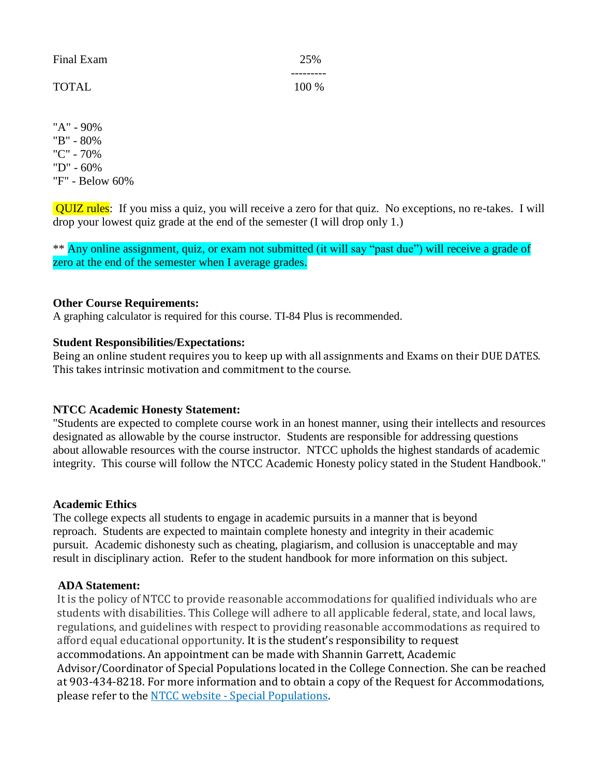| Final Exam   | 25%   |
|--------------|-------|
| <b>TOTAL</b> | 100 % |

"A" - 90% "B" - 80% "C" - 70% "D" - 60% "F" - Below 60%

QUIZ rules: If you miss a quiz, you will receive a zero for that quiz. No exceptions, no re-takes. I will drop your lowest quiz grade at the end of the semester (I will drop only 1.)

\*\* Any online assignment, quiz, or exam not submitted (it will say "past due") will receive a grade of zero at the end of the semester when I average grades.

## **Other Course Requirements:**

A graphing calculator is required for this course. TI-84 Plus is recommended.

### **Student Responsibilities/Expectations:**

Being an online student requires you to keep up with all assignments and Exams on their DUE DATES. This takes intrinsic motivation and commitment to the course.

### **NTCC Academic Honesty Statement:**

"Students are expected to complete course work in an honest manner, using their intellects and resources designated as allowable by the course instructor. Students are responsible for addressing questions about allowable resources with the course instructor. NTCC upholds the highest standards of academic integrity. This course will follow the NTCC Academic Honesty policy stated in the Student Handbook."

### **Academic Ethics**

The college expects all students to engage in academic pursuits in a manner that is beyond reproach. Students are expected to maintain complete honesty and integrity in their academic pursuit. Academic dishonesty such as cheating, plagiarism, and collusion is unacceptable and may result in disciplinary action. Refer to the student handbook for more information on this subject.

### **ADA Statement:**

It is the policy of NTCC to provide reasonable accommodations for qualified individuals who are students with disabilities. This College will adhere to all applicable federal, state, and local laws, regulations, and guidelines with respect to providing reasonable accommodations as required to afford equal educational opportunity. It is the student's responsibility to request accommodations. An appointment can be made with Shannin Garrett, Academic Advisor/Coordinator of Special Populations located in the College Connection. She can be reached at 903-434-8218. For more information and to obtain a copy of the Request for Accommodations, please refer to the NTCC website - [Special Populations.](http://www.ntcc.edu/index.php?module=Pagesetter&func=viewpub&tid=111&pid=1)